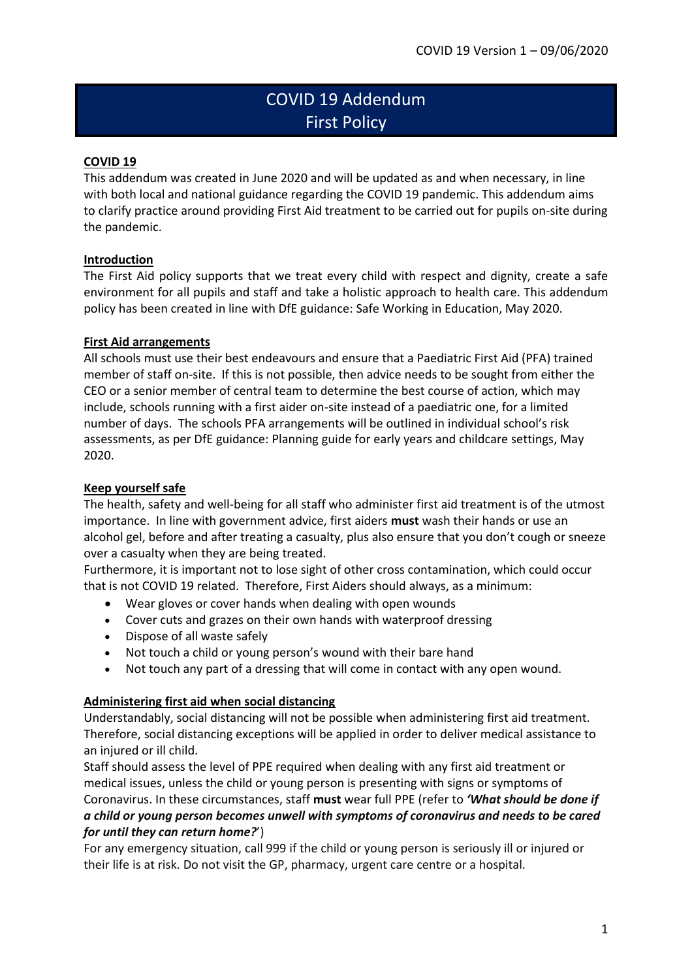# COVID 19 Addendum First Policy

## **COVID 19**

This addendum was created in June 2020 and will be updated as and when necessary, in line with both local and national guidance regarding the COVID 19 pandemic. This addendum aims to clarify practice around providing First Aid treatment to be carried out for pupils on-site during the pandemic.

## **Introduction**

The First Aid policy supports that we treat every child with respect and dignity, create a safe environment for all pupils and staff and take a holistic approach to health care. This addendum policy has been created in line with DfE guidance: Safe Working in Education, May 2020.

## **First Aid arrangements**

All schools must use their best endeavours and ensure that a Paediatric First Aid (PFA) trained member of staff on-site. If this is not possible, then advice needs to be sought from either the CEO or a senior member of central team to determine the best course of action, which may include, schools running with a first aider on-site instead of a paediatric one, for a limited number of days. The schools PFA arrangements will be outlined in individual school's risk assessments, as per DfE guidance: Planning guide for early years and childcare settings, May 2020.

## **Keep yourself safe**

The health, safety and well-being for all staff who administer first aid treatment is of the utmost importance. In line with government advice, first aiders **must** wash their hands or use an alcohol gel, before and after treating a casualty, plus also ensure that you don't cough or sneeze over a casualty when they are being treated.

Furthermore, it is important not to lose sight of other cross contamination, which could occur that is not COVID 19 related. Therefore, First Aiders should always, as a minimum:

- Wear gloves or cover hands when dealing with open wounds
- Cover cuts and grazes on their own hands with waterproof dressing
- Dispose of all waste safely
- Not touch a child or young person's wound with their bare hand
- Not touch any part of a dressing that will come in contact with any open wound.

## **Administering first aid when social distancing**

Understandably, social distancing will not be possible when administering first aid treatment. Therefore, social distancing exceptions will be applied in order to deliver medical assistance to an injured or ill child.

Staff should assess the level of PPE required when dealing with any first aid treatment or medical issues, unless the child or young person is presenting with signs or symptoms of Coronavirus. In these circumstances, staff **must** wear full PPE (refer to *'What should be done if a child or young person becomes unwell with symptoms of coronavirus and needs to be cared for until they can return home?*')

For any emergency situation, call 999 if the child or young person is seriously ill or injured or their life is at risk. Do not visit the GP, pharmacy, urgent care centre or a hospital.